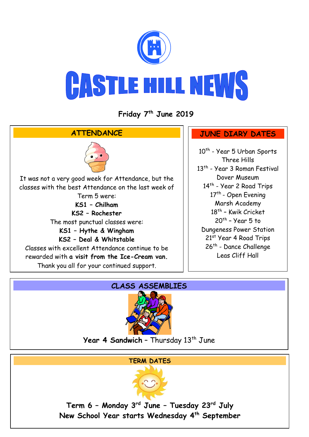

**Friday 7 th June 2019**



## **CLASS ASSEMBLIES**



**Year 4 Sandwich -** Thursday 13<sup>th</sup> June

#### **TERM DATES**



**Term 6 – Monday 3rd June – Tuesday 23rd July New School Year starts Wednesday 4th September**